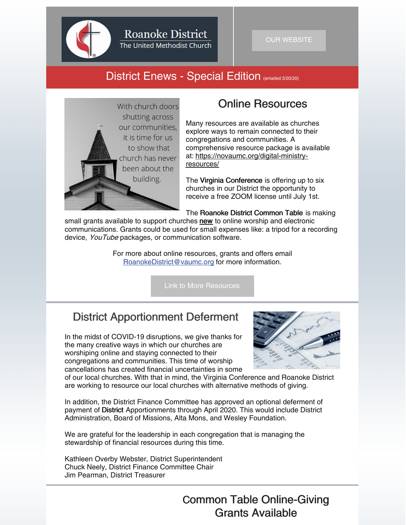

**Roanoke District** 

The United Methodist Church

### District Enews - Special Edition (emailed 3/20/20)



## Online Resources

Many resources are available as churches explore ways to remain connected to their congregations and communities. A comprehensive resource package is available at: [https://novaumc.org/digital-ministry](https://novaumc.org/digital-ministry-resources/)resources/

The Virginia Conference is offering up to six churches in our District the opportunity to receive a free ZOOM license until July 1st.

The Roanoke District Common Table is making

small grants available to support churches new to online worship and electronic communications. Grants could be used for small expenses like: a tripod for a recording device, YouTube packages, or communication software.

> For more about online resources, grants and offers email [RoanokeDistrict@vaumc.org](mailto:RoanokeDistrict@vaumc.org) for more information.

> > Link to More [Resources](https://roanokeumc.org/news.php?id=92)

# District Apportionment Deferment

In the midst of COVID-19 disruptions, we give thanks for the many creative ways in which our churches are worshiping online and staying connected to their congregations and communities. This time of worship cancellations has created financial uncertainties in some



of our local churches. With that in mind, the Virginia Conference and Roanoke District are working to resource our local churches with alternative methods of giving.

In addition, the District Finance Committee has approved an optional deferment of payment of District Apportionments through April 2020. This would include District Administration, Board of Missions, Alta Mons, and Wesley Foundation.

We are grateful for the leadership in each congregation that is managing the stewardship of financial resources during this time.

Kathleen Overby Webster, District Superintendent Chuck Neely, District Finance Committee Chair Jim Pearman, District Treasurer

> Common Table Online-Giving Grants Available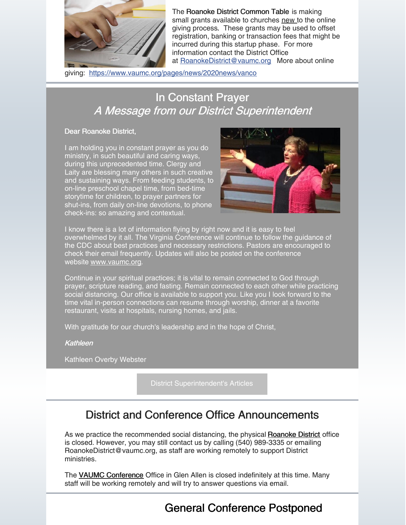

The Roanoke District Common Table is making small grants available to churches new to the online giving process. These grants may be used to offset registration, banking or transaction fees that might be incurred during this startup phase. For more information contact the District Office at [RoanokeDistrict@vaumc.org](mailto:RoanokeDistrict@vaumc.org) More about online

giving: <https://www.vaumc.org/pages/news/2020news/vanco>

# **In Constant Prayer** A Message from our District Superintendent

#### Dear Roanoke District,

I am holding you in constant prayer as you do ministry, in such beautiful and caring ways, during this unprecedented time. Clergy and Laity are blessing many others in such creative and sustaining ways. From feeding students, to on-line preschool chapel time, from bed-time storytime for children, to prayer partners for shut-ins, from daily on-line devotions, to phone check-ins: so amazing and contextual.



I know there is a lot of information flying by right now and it is easy to feel overwhelmed by it all. The Virginia Conference will continue to follow the guidance of the CDC about best practices and necessary restrictions. Pastors are encouraged to check their email frequently. Updates will also be posted on the conference website [www.vaumc.org](http://www.vaumc.org/).

Continue in your spiritual practices; it is vital to remain connected to God through prayer, scripture reading, and fasting. Remain connected to each other while practicing social distancing. Our office is available to support you. Like you I look forward to the time vital in-person connections can resume through worship, dinner at a favorite restaurant, visits at hospitals, nursing homes, and jails.

With gratitude for our church's leadership and in the hope of Christ,

**Kathleen** 

Kathleen Overby Webster

District [Superintendent's](https://roanokeumc.org/ds.php) Articles

# District and Conference Office Announcements

As we practice the recommended social distancing, the physical [Roanoke](https://www.roanokeumc.org/) District office is closed. However, you may still contact us by calling (540) 989-3335 or emailing RoanokeDistrict@vaumc.org, as staff are working remotely to support District ministries.

The VAUMC [Conference](https://www.vaumc.org/) Office in Glen Allen is closed indefinitely at this time. Many staff will be working remotely and will try to answer questions via email.

General Conference Postponed